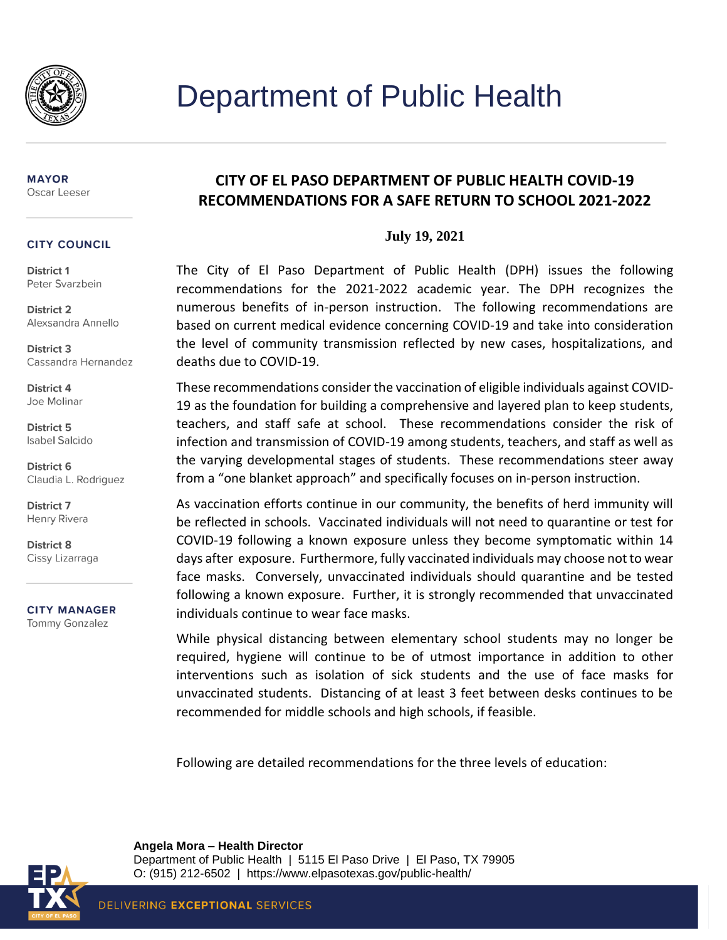

#### **MAYOR** Oscar Leeser

#### **CITY COUNCIL**

District 1 Peter Svarzbein

**District 2** Alexsandra Annello

District 3 Cassandra Hernandez

District 4 Joe Molinar

District 5 **Isabel Salcido** 

District 6 Claudia L. Rodriguez

**District 7** Henry Rivera

District 8 Cissy Lizarraga

**CITY MANAGER Tommy Gonzalez** 

## **CITY OF EL PASO DEPARTMENT OF PUBLIC HEALTH COVID-19 RECOMMENDATIONS FOR A SAFE RETURN TO SCHOOL 2021-2022**

### **July 19, 2021**

The City of El Paso Department of Public Health (DPH) issues the following recommendations for the 2021-2022 academic year. The DPH recognizes the numerous benefits of in-person instruction. The following recommendations are based on current medical evidence concerning COVID-19 and take into consideration the level of community transmission reflected by new cases, hospitalizations, and deaths due to COVID-19.

These recommendations consider the vaccination of eligible individuals against COVID-19 as the foundation for building a comprehensive and layered plan to keep students, teachers, and staff safe at school. These recommendations consider the risk of infection and transmission of COVID-19 among students, teachers, and staff as well as the varying developmental stages of students. These recommendations steer away from a "one blanket approach" and specifically focuses on in-person instruction.

As vaccination efforts continue in our community, the benefits of herd immunity will be reflected in schools. Vaccinated individuals will not need to quarantine or test for COVID-19 following a known exposure unless they become symptomatic within 14 days after exposure. Furthermore, fully vaccinated individuals may choose not to wear face masks. Conversely, unvaccinated individuals should quarantine and be tested following a known exposure. Further, it is strongly recommended that unvaccinated individuals continue to wear face masks.

While physical distancing between elementary school students may no longer be required, hygiene will continue to be of utmost importance in addition to other interventions such as isolation of sick students and the use of face masks for unvaccinated students. Distancing of at least 3 feet between desks continues to be recommended for middle schools and high schools, if feasible.

Following are detailed recommendations for the three levels of education:



**Angela Mora – Health Director** Department of Public Health | 5115 El Paso Drive | El Paso, TX 79905 O: (915) 212-6502 | https://www.elpasotexas.gov/public-health/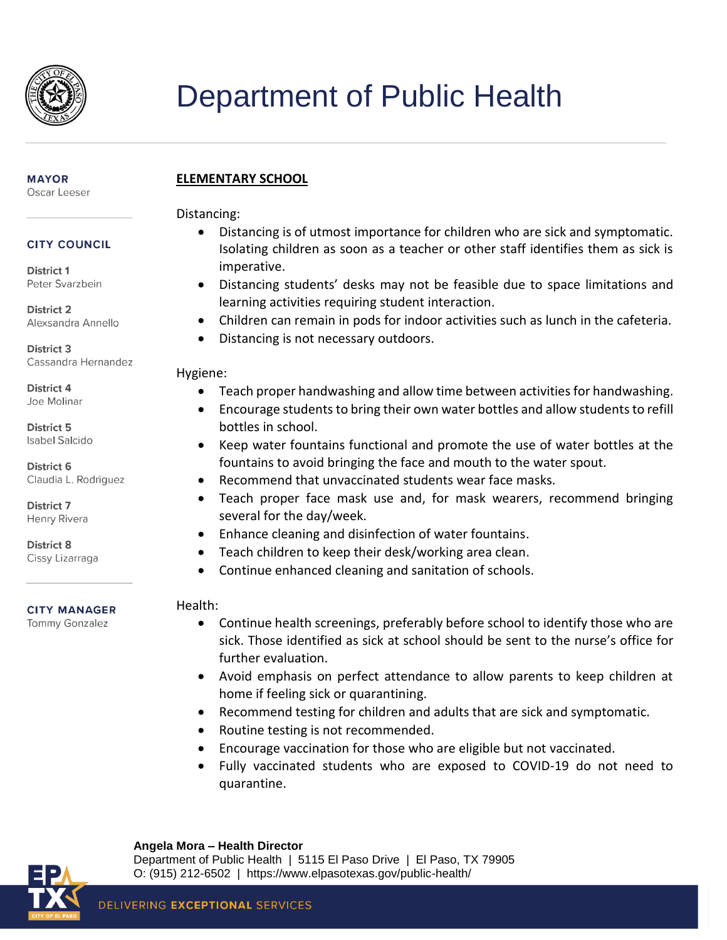

#### **MAYOR** Oscar Leeser

## **CITY COUNCIL**

District 1 Peter Svarzbein

**District 2** Alexsandra Annello

**District 3** Cassandra Hernandez

District 4 Joe Molinar

District 5 **Isabel Salcido** 

District 6 Claudia L. Rodriguez

District 7 Henry Rivera

District 8 Cissy Lizarraga

**CITY MANAGER Tommy Gonzalez** 

## **ELEMENTARY SCHOOL**

Distancing:

- Distancing is of utmost importance for children who are sick and symptomatic. Isolating children as soon as a teacher or other staff identifies them as sick is imperative.
- Distancing students' desks may not be feasible due to space limitations and learning activities requiring student interaction.
- Children can remain in pods for indoor activities such as lunch in the cafeteria.
- Distancing is not necessary outdoors.

## Hygiene:

- Teach proper handwashing and allow time between activities for handwashing.
- Encourage students to bring their own water bottles and allow students to refill bottles in school.
- Keep water fountains functional and promote the use of water bottles at the fountains to avoid bringing the face and mouth to the water spout.
- Recommend that unvaccinated students wear face masks.
- Teach proper face mask use and, for mask wearers, recommend bringing several for the day/week.
- Enhance cleaning and disinfection of water fountains.
- Teach children to keep their desk/working area clean.
- Continue enhanced cleaning and sanitation of schools.

## Health:

- Continue health screenings, preferably before school to identify those who are sick. Those identified as sick at school should be sent to the nurse's office for further evaluation.
- Avoid emphasis on perfect attendance to allow parents to keep children at home if feeling sick or quarantining.
- Recommend testing for children and adults that are sick and symptomatic.
- Routine testing is not recommended.
- Encourage vaccination for those who are eligible but not vaccinated.
- Fully vaccinated students who are exposed to COVID-19 do not need to quarantine.



#### **Angela Mora – Health Director**

Department of Public Health | 5115 El Paso Drive | El Paso, TX 79905 O: (915) 212-6502 | https://www.elpasotexas.gov/public-health/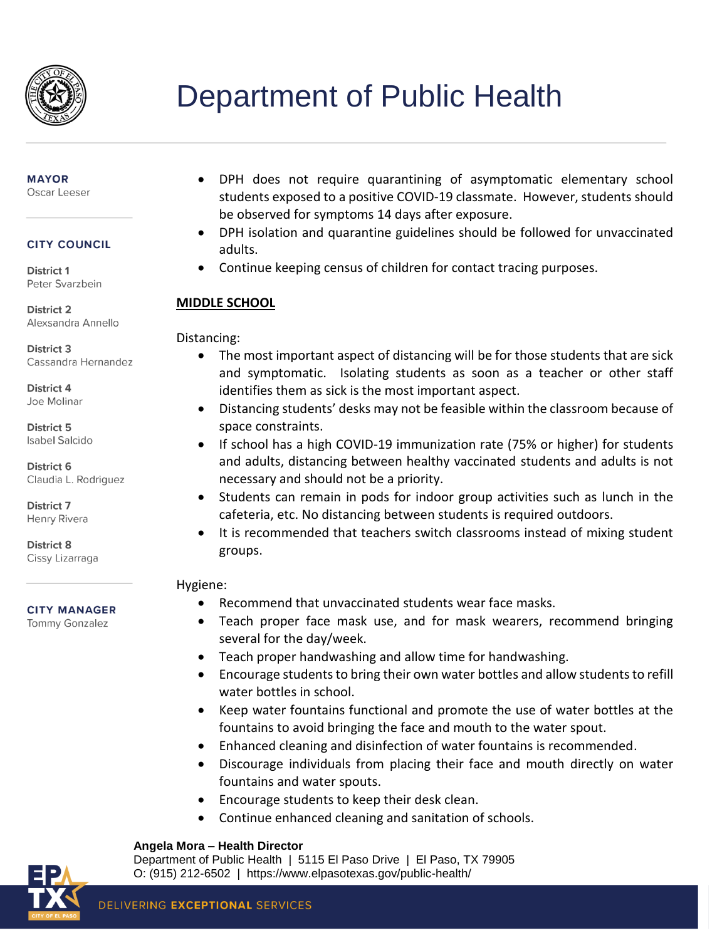

## **MAYOR**

Oscar Leeser

### **CITY COUNCIL**

District 1 Peter Svarzbein

**District 2** Alexsandra Annello

**District 3** Cassandra Hernandez

District 4 Joe Molinar

District 5 **Isabel Salcido** 

District 6 Claudia L. Rodriguez

District 7 Henry Rivera

**District 8** Cissy Lizarraga

#### **CITY MANAGER**

**Tommy Gonzalez** 

- DPH does not require quarantining of asymptomatic elementary school students exposed to a positive COVID-19 classmate. However, students should be observed for symptoms 14 days after exposure.
- DPH isolation and quarantine guidelines should be followed for unvaccinated adults.
- Continue keeping census of children for contact tracing purposes.

## **MIDDLE SCHOOL**

Distancing:

- The most important aspect of distancing will be for those students that are sick and symptomatic. Isolating students as soon as a teacher or other staff identifies them as sick is the most important aspect.
- Distancing students' desks may not be feasible within the classroom because of space constraints.
- If school has a high COVID-19 immunization rate (75% or higher) for students and adults, distancing between healthy vaccinated students and adults is not necessary and should not be a priority.
- Students can remain in pods for indoor group activities such as lunch in the cafeteria, etc. No distancing between students is required outdoors.
- It is recommended that teachers switch classrooms instead of mixing student groups.

## Hygiene:

- Recommend that unvaccinated students wear face masks.
- Teach proper face mask use, and for mask wearers, recommend bringing several for the day/week.
- Teach proper handwashing and allow time for handwashing.
- Encourage students to bring their own water bottles and allow students to refill water bottles in school.
- Keep water fountains functional and promote the use of water bottles at the fountains to avoid bringing the face and mouth to the water spout.
- Enhanced cleaning and disinfection of water fountains is recommended.
- Discourage individuals from placing their face and mouth directly on water fountains and water spouts.
- Encourage students to keep their desk clean.
- Continue enhanced cleaning and sanitation of schools.

## **Angela Mora – Health Director**

Department of Public Health | 5115 El Paso Drive | El Paso, TX 79905 O: (915) 212-6502 | https://www.elpasotexas.gov/public-health/

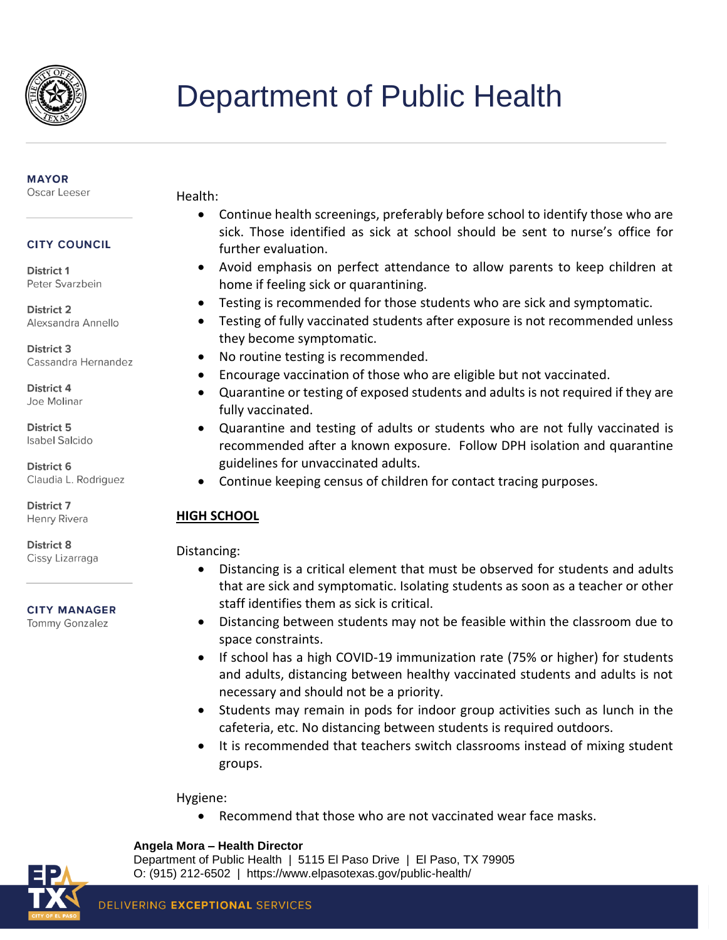

#### **MAYOR**

Oscar Leeser

Health:

- Continue health screenings, preferably before school to identify those who are sick. Those identified as sick at school should be sent to nurse's office for further evaluation.
- Avoid emphasis on perfect attendance to allow parents to keep children at home if feeling sick or quarantining.
- Testing is recommended for those students who are sick and symptomatic.
- Testing of fully vaccinated students after exposure is not recommended unless they become symptomatic.
- No routine testing is recommended.
- Encourage vaccination of those who are eligible but not vaccinated.
- Quarantine or testing of exposed students and adults is not required if they are fully vaccinated.
- Quarantine and testing of adults or students who are not fully vaccinated is recommended after a known exposure. Follow DPH isolation and quarantine guidelines for unvaccinated adults.
- Continue keeping census of children for contact tracing purposes.

## **HIGH SCHOOL**

## Distancing:

- Distancing is a critical element that must be observed for students and adults that are sick and symptomatic. Isolating students as soon as a teacher or other staff identifies them as sick is critical.
- Distancing between students may not be feasible within the classroom due to space constraints.
- If school has a high COVID-19 immunization rate (75% or higher) for students and adults, distancing between healthy vaccinated students and adults is not necessary and should not be a priority.
- Students may remain in pods for indoor group activities such as lunch in the cafeteria, etc. No distancing between students is required outdoors.
- It is recommended that teachers switch classrooms instead of mixing student groups.

Hygiene:

Recommend that those who are not vaccinated wear face masks.

### **Angela Mora – Health Director**



Department of Public Health | 5115 El Paso Drive | El Paso, TX 79905 O: (915) 212-6502 | https://www.elpasotexas.gov/public-health/

**CITY COUNCIL** 

District 1 Peter Svarzbein

**District 2** Alexsandra Annello

**District 3** Cassandra Hernandez

District 4 Joe Molinar

District 5 **Isabel Salcido** 

District 6 Claudia L. Rodriguez

District 7 Henry Rivera

**District 8** Cissy Lizarraga

### **CITY MANAGER**

**Tommy Gonzalez**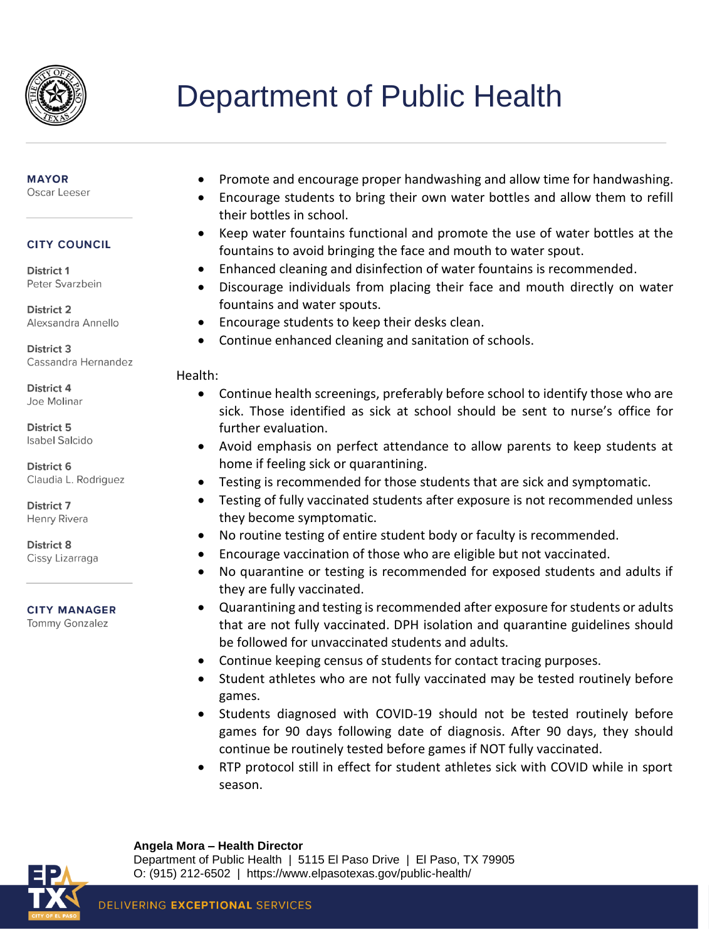

#### **MAYOR**

Oscar Leeser

### **CITY COUNCIL**

District 1 Peter Svarzbein

**District 2** Alexsandra Annello

**District 3** Cassandra Hernandez

District 4 Joe Molinar

District 5 **Isabel Salcido** 

District 6 Claudia L. Rodriguez

**District 7** Henry Rivera

District 8 Cissy Lizarraga

#### **CITY MANAGER**

**Tommy Gonzalez** 

- Promote and encourage proper handwashing and allow time for handwashing.
- Encourage students to bring their own water bottles and allow them to refill their bottles in school.
- Keep water fountains functional and promote the use of water bottles at the fountains to avoid bringing the face and mouth to water spout.
- Enhanced cleaning and disinfection of water fountains is recommended.
- Discourage individuals from placing their face and mouth directly on water fountains and water spouts.
- Encourage students to keep their desks clean.
- Continue enhanced cleaning and sanitation of schools.

### Health:

- Continue health screenings, preferably before school to identify those who are sick. Those identified as sick at school should be sent to nurse's office for further evaluation.
- Avoid emphasis on perfect attendance to allow parents to keep students at home if feeling sick or quarantining.
- Testing is recommended for those students that are sick and symptomatic.
- Testing of fully vaccinated students after exposure is not recommended unless they become symptomatic.
- No routine testing of entire student body or faculty is recommended.
- Encourage vaccination of those who are eligible but not vaccinated.
- No quarantine or testing is recommended for exposed students and adults if they are fully vaccinated.
- Quarantining and testing is recommended after exposure for students or adults that are not fully vaccinated. DPH isolation and quarantine guidelines should be followed for unvaccinated students and adults.
- Continue keeping census of students for contact tracing purposes.
- Student athletes who are not fully vaccinated may be tested routinely before games.
- Students diagnosed with COVID-19 should not be tested routinely before games for 90 days following date of diagnosis. After 90 days, they should continue be routinely tested before games if NOT fully vaccinated.
- RTP protocol still in effect for student athletes sick with COVID while in sport season.

#### **Angela Mora – Health Director**



Department of Public Health | 5115 El Paso Drive | El Paso, TX 79905 O: (915) 212-6502 | https://www.elpasotexas.gov/public-health/